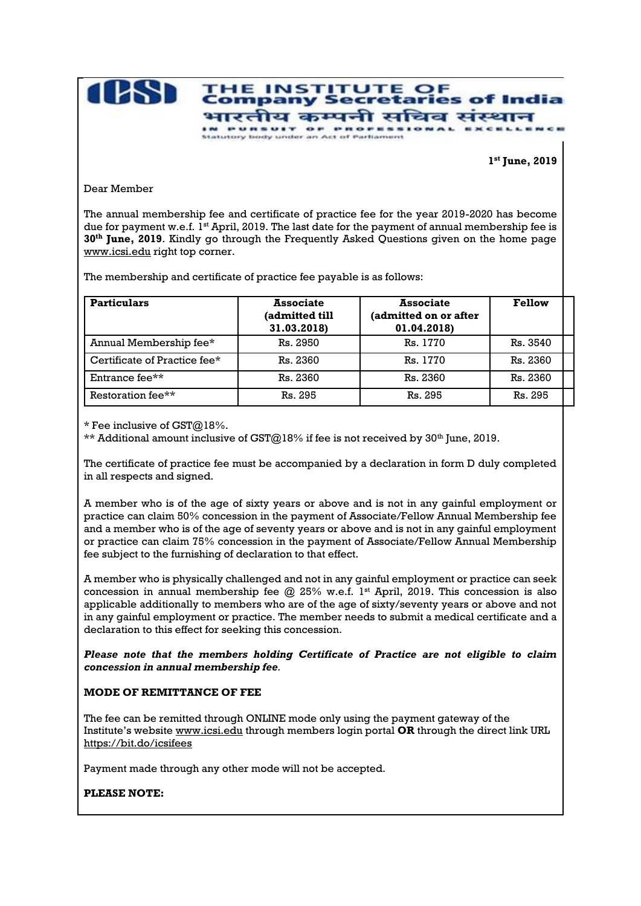

**1 st June, 2019**

Dear Member

The annual membership fee and certificate of practice fee for the year 2019-2020 has become due for payment w.e.f.  $1^{st}$  April, 2019. The last date for the payment of annual membership fee is **30th June, 2019**. Kindly go through the Frequently Asked Questions given on the home page [www.icsi.edu](http://www.icsi.edu/) right top corner.

The membership and certificate of practice fee payable is as follows:

| <b>Particulars</b>           | <b>Associate</b><br>(admitted till<br>31.03.2018) | <b>Associate</b><br>(admitted on or after<br>01.04.2018) | <b>Fellow</b> |
|------------------------------|---------------------------------------------------|----------------------------------------------------------|---------------|
| Annual Membership fee*       | Rs. 2950                                          | Rs. 1770                                                 | Rs. 3540      |
| Certificate of Practice fee* | Rs. 2360                                          | Rs. 1770                                                 | Rs. 2360      |
| Entrance fee**               | Rs. 2360                                          | Rs. 2360                                                 | Rs. 2360      |
| Restoration fee**            | Rs. 295                                           | Rs. 295                                                  | Rs. 295       |

\* Fee inclusive of GST@18%.

\*\* Additional amount inclusive of  $\text{CST@18\%}$  if fee is not received by 30<sup>th</sup> June, 2019.

The certificate of practice fee must be accompanied by a declaration in form D duly completed in all respects and signed.

A member who is of the age of sixty years or above and is not in any gainful employment or practice can claim 50% concession in the payment of Associate/Fellow Annual Membership fee and a member who is of the age of seventy years or above and is not in any gainful employment or practice can claim 75% concession in the payment of Associate/Fellow Annual Membership fee subject to the furnishing of declaration to that effect.

A member who is physically challenged and not in any gainful employment or practice can seek concession in annual membership fee  $@$  25% w.e.f. 1<sup>st</sup> April, 2019. This concession is also applicable additionally to members who are of the age of sixty/seventy years or above and not in any gainful employment or practice. The member needs to submit a medical certificate and a declaration to this effect for seeking this concession.

*Please note that the members holding Certificate of Practice are not eligible to claim concession in annual membership fee.*

## **MODE OF REMITTANCE OF FEE**

The fee can be remitted through ONLINE mode only using the payment gateway of the Institute's website [www.icsi.edu](http://www.icsi.edu/) through members login portal **OR** through the direct link URL <https://bit.do/icsifees>

Payment made through any other mode will not be accepted.

**PLEASE NOTE:**